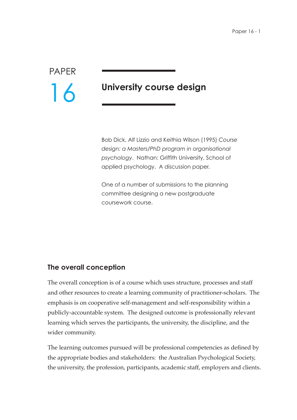PAPER 16

# **University course design**

Bob Dick, Alf Lizzio and Keithia Wilson (1995) *Course design: a Masters/PhD program in organisational psychology*. Nathan: Griffith University, School of applied psychology. A discussion paper.

One of a number of submissions to the planning committee designing a new postgraduate coursework course.

## **The overall conception**

The overall conception is of a course which uses structure, processes and staff and other resources to create a learning community of practitioner-scholars. The emphasis is on cooperative self-management and self-responsibility within a publicly-accountable system. The designed outcome is professionally relevant learning which serves the participants, the university, the discipline, and the wider community.

The learning outcomes pursued will be professional competencies as defined by the appropriate bodies and stakeholders: the Australian Psychological Society, the university, the profession, participants, academic staff, employers and clients.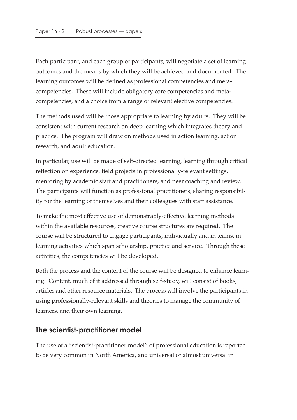Each participant, and each group of participants, will negotiate a set of learning outcomes and the means by which they will be achieved and documented. The learning outcomes will be defined as professional competencies and metacompetencies. These will include obligatory core competencies and metacompetencies, and a choice from a range of relevant elective competencies.

The methods used will be those appropriate to learning by adults. They will be consistent with current research on deep learning which integrates theory and practice. The program will draw on methods used in action learning, action research, and adult education.

In particular, use will be made of self-directed learning, learning through critical reflection on experience, field projects in professionally-relevant settings, mentoring by academic staff and practitioners, and peer coaching and review. The participants will function as professional practitioners, sharing responsibility for the learning of themselves and their colleagues with staff assistance.

To make the most effective use of demonstrably-effective learning methods within the available resources, creative course structures are required. The course will be structured to engage participants, individually and in teams, in learning activities which span scholarship, practice and service. Through these activities, the competencies will be developed.

Both the process and the content of the course will be designed to enhance learning. Content, much of it addressed through self-study, will consist of books, articles and other resource materials. The process will involve the participants in using professionally-relevant skills and theories to manage the community of learners, and their own learning.

# **The scientist-practitioner model**

The use of a "scientist-practitioner model" of professional education is reported to be very common in North America, and universal or almost universal in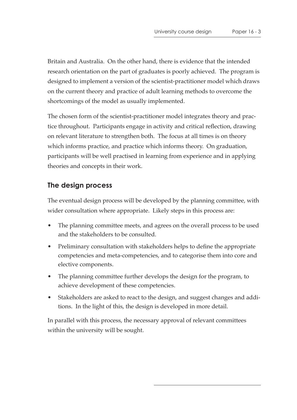Britain and Australia. On the other hand, there is evidence that the intended research orientation on the part of graduates is poorly achieved. The program is designed to implement a version of the scientist-practitioner model which draws on the current theory and practice of adult learning methods to overcome the shortcomings of the model as usually implemented.

The chosen form of the scientist-practitioner model integrates theory and practice throughout. Participants engage in activity and critical reflection, drawing on relevant literature to strengthen both. The focus at all times is on theory which informs practice, and practice which informs theory. On graduation, participants will be well practised in learning from experience and in applying theories and concepts in their work.

# **The design process**

The eventual design process will be developed by the planning committee, with wider consultation where appropriate. Likely steps in this process are:

- The planning committee meets, and agrees on the overall process to be used and the stakeholders to be consulted.
- Preliminary consultation with stakeholders helps to define the appropriate competencies and meta-competencies, and to categorise them into core and elective components.
- The planning committee further develops the design for the program, to achieve development of these competencies.
- Stakeholders are asked to react to the design, and suggest changes and additions. In the light of this, the design is developed in more detail.

In parallel with this process, the necessary approval of relevant committees within the university will be sought.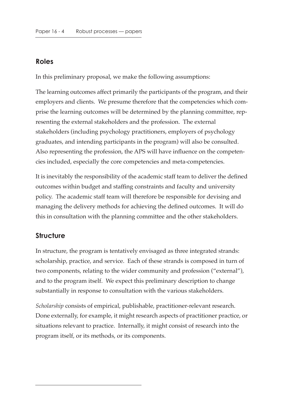#### **Roles**

In this preliminary proposal, we make the following assumptions:

The learning outcomes affect primarily the participants of the program, and their employers and clients. We presume therefore that the competencies which comprise the learning outcomes will be determined by the planning committee, representing the external stakeholders and the profession. The external stakeholders (including psychology practitioners, employers of psychology graduates, and intending participants in the program) will also be consulted. Also representing the profession, the APS will have influence on the competencies included, especially the core competencies and meta-competencies.

It is inevitably the responsibility of the academic staff team to deliver the defined outcomes within budget and staffing constraints and faculty and university policy. The academic staff team will therefore be responsible for devising and managing the delivery methods for achieving the defined outcomes. It will do this in consultation with the planning committee and the other stakeholders.

## **Structure**

In structure, the program is tentatively envisaged as three integrated strands: scholarship, practice, and service. Each of these strands is composed in turn of two components, relating to the wider community and profession ("external"), and to the program itself. We expect this preliminary description to change substantially in response to consultation with the various stakeholders.

*Scholarship* consists of empirical, publishable, practitioner-relevant research. Done externally, for example, it might research aspects of practitioner practice, or situations relevant to practice. Internally, it might consist of research into the program itself, or its methods, or its components.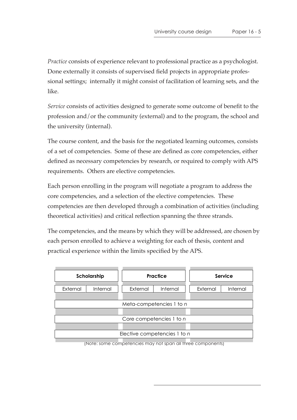*Practice* consists of experience relevant to professional practice as a psychologist. Done externally it consists of supervised field projects in appropriate professional settings; internally it might consist of facilitation of learning sets, and the like.

*Service* consists of activities designed to generate some outcome of benefit to the profession and/or the community (external) and to the program, the school and the university (internal).

The course content, and the basis for the negotiated learning outcomes, consists of a set of competencies. Some of these are defined as core competencies, either defined as necessary competencies by research, or required to comply with APS requirements. Others are elective competencies.

Each person enrolling in the program will negotiate a program to address the core competencies, and a selection of the elective competencies. These competencies are then developed through a combination of activities (including theoretical activities) and critical reflection spanning the three strands.

The competencies, and the means by which they will be addressed, are chosen by each person enrolled to achieve a weighting for each of thesis, content and practical experience within the limits specified by the APS.

| Scholarship                  |                 | Practice |          | Service  |          |  |
|------------------------------|-----------------|----------|----------|----------|----------|--|
| External                     | <b>Internal</b> | External | Internal | External | Internal |  |
|                              |                 |          |          |          |          |  |
| Meta-competencies 1 to n     |                 |          |          |          |          |  |
|                              |                 |          |          |          |          |  |
| Core competencies 1 to n     |                 |          |          |          |          |  |
|                              |                 |          |          |          |          |  |
| Elective competencies 1 to n |                 |          |          |          |          |  |
|                              |                 |          |          |          |          |  |

(Note: some competencies may not span all three components)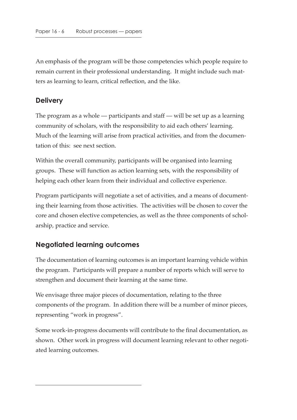An emphasis of the program will be those competencies which people require to remain current in their professional understanding. It might include such matters as learning to learn, critical reflection, and the like.

## **Delivery**

The program as a whole — participants and staff — will be set up as a learning community of scholars, with the responsibility to aid each others' learning. Much of the learning will arise from practical activities, and from the documentation of this: see next section.

Within the overall community, participants will be organised into learning groups. These will function as action learning sets, with the responsibility of helping each other learn from their individual and collective experience.

Program participants will negotiate a set of activities, and a means of documenting their learning from those activities. The activities will be chosen to cover the core and chosen elective competencies, as well as the three components of scholarship, practice and service.

# **Negotiated learning outcomes**

The documentation of learning outcomes is an important learning vehicle within the program. Participants will prepare a number of reports which will serve to strengthen and document their learning at the same time.

We envisage three major pieces of documentation, relating to the three components of the program. In addition there will be a number of minor pieces, representing "work in progress".

Some work-in-progress documents will contribute to the final documentation, as shown. Other work in progress will document learning relevant to other negotiated learning outcomes.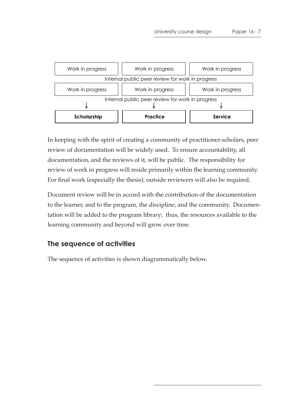



In keeping with the spirit of creating a community of practitioner-scholars, peer review of documentation will be widely used. To ensure accountability, all documentation, and the reviews of it, will be public. The responsibility for review of work in progress will reside primarily within the learning community. For final work (especially the thesis), outside reviewers will also be required.

Document review will be in accord with the contribution of the documentation to the learner, and to the program, the discipline, and the community. Documentation will be added to the program library; thus, the resources available to the learning community and beyond will grow over time.

## **The sequence of activities**

The sequence of activities is shown diagrammatically below.